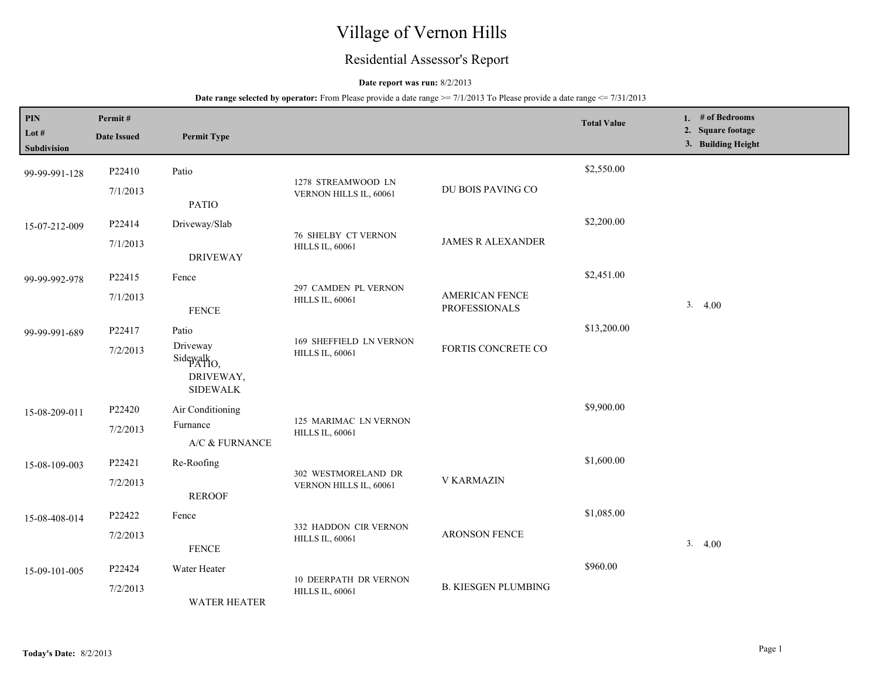# Village of Vernon Hills

## Residential Assessor's Report

## **Date report was run:** 8/2/2013

| PIN                  | Permit#            |                                                                   |                                                      |                                               | <b>Total Value</b> | 1. # of Bedrooms<br>2. Square footage |
|----------------------|--------------------|-------------------------------------------------------------------|------------------------------------------------------|-----------------------------------------------|--------------------|---------------------------------------|
| Lot #<br>Subdivision | <b>Date Issued</b> | <b>Permit Type</b>                                                |                                                      |                                               |                    | 3. Building Height                    |
| 99-99-991-128        | P22410             | Patio                                                             | 1278 STREAMWOOD LN                                   |                                               | \$2,550.00         |                                       |
|                      | 7/1/2013           | <b>PATIO</b>                                                      | VERNON HILLS IL, 60061                               | DU BOIS PAVING CO                             |                    |                                       |
| 15-07-212-009        | P22414             | Driveway/Slab                                                     |                                                      |                                               | \$2,200.00         |                                       |
|                      | 7/1/2013           | <b>DRIVEWAY</b>                                                   | <b>76 SHELBY CT VERNON</b><br><b>HILLS IL, 60061</b> | <b>JAMES R ALEXANDER</b>                      |                    |                                       |
| 99-99-992-978        | P22415             | Fence                                                             |                                                      |                                               | \$2,451.00         |                                       |
|                      | 7/1/2013           | <b>FENCE</b>                                                      | 297 CAMDEN PL VERNON<br><b>HILLS IL, 60061</b>       | <b>AMERICAN FENCE</b><br><b>PROFESSIONALS</b> |                    | 3.4.00                                |
| 99-99-991-689        | P22417             | Patio                                                             |                                                      |                                               | \$13,200.00        |                                       |
|                      | 7/2/2013           | Driveway<br>Sidewalk <sub>O</sub><br>DRIVEWAY,<br><b>SIDEWALK</b> | 169 SHEFFIELD LN VERNON<br><b>HILLS IL, 60061</b>    | FORTIS CONCRETE CO                            |                    |                                       |
| 15-08-209-011        | P22420             | Air Conditioning                                                  |                                                      |                                               | \$9,900.00         |                                       |
|                      | 7/2/2013           | Furnance<br>A/C & FURNANCE                                        | 125 MARIMAC LN VERNON<br><b>HILLS IL, 60061</b>      |                                               |                    |                                       |
| 15-08-109-003        | P22421             | Re-Roofing                                                        |                                                      |                                               | \$1,600.00         |                                       |
|                      | 7/2/2013           | <b>REROOF</b>                                                     | 302 WESTMORELAND DR<br>VERNON HILLS IL, 60061        | <b>V KARMAZIN</b>                             |                    |                                       |
| 15-08-408-014        | P22422             | Fence                                                             |                                                      |                                               | \$1,085.00         |                                       |
|                      | 7/2/2013           | <b>FENCE</b>                                                      | 332 HADDON CIR VERNON<br><b>HILLS IL, 60061</b>      | <b>ARONSON FENCE</b>                          |                    | 3.4.00                                |
| 15-09-101-005        | P22424             | Water Heater                                                      | <b>10 DEERPATH DR VERNON</b>                         |                                               | \$960.00           |                                       |
|                      | 7/2/2013           | <b>WATER HEATER</b>                                               | <b>HILLS IL, 60061</b>                               | <b>B. KIESGEN PLUMBING</b>                    |                    |                                       |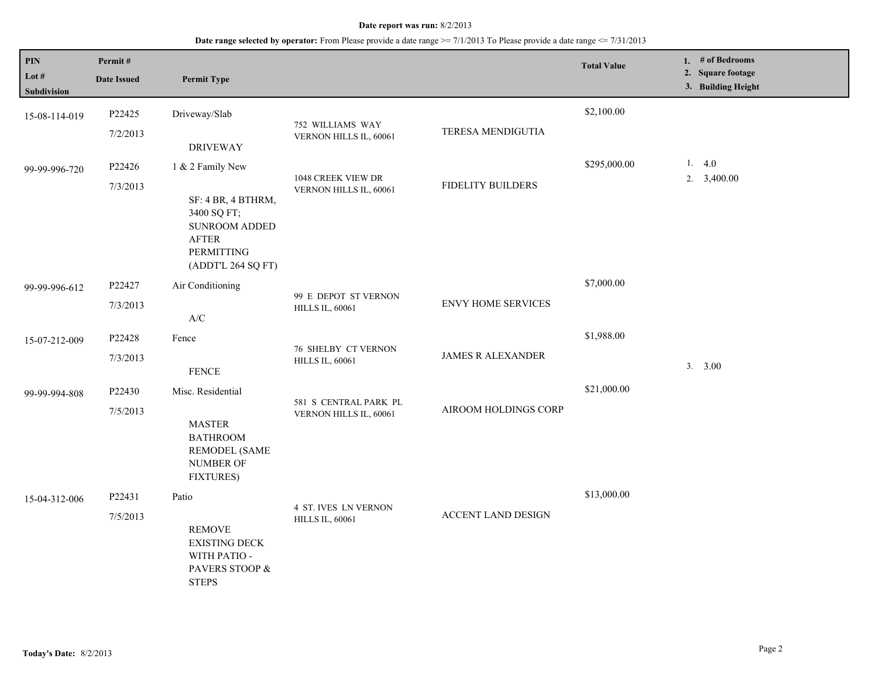| $\mathbf{PIN}$<br>Lot $#$<br>Subdivision | Permit#<br><b>Date Issued</b> | <b>Permit Type</b>                                                                                                                       |                                                       |                           | <b>Total Value</b> | 1. # of Bedrooms<br>2. Square footage<br>3. Building Height |
|------------------------------------------|-------------------------------|------------------------------------------------------------------------------------------------------------------------------------------|-------------------------------------------------------|---------------------------|--------------------|-------------------------------------------------------------|
| 15-08-114-019                            | P22425<br>7/2/2013            | Driveway/Slab<br><b>DRIVEWAY</b>                                                                                                         | 752 WILLIAMS WAY<br>VERNON HILLS IL, 60061            | TERESA MENDIGUTIA         | \$2,100.00         |                                                             |
| 99-99-996-720                            | P22426<br>7/3/2013            | 1 & 2 Family New<br>SF: 4 BR, 4 BTHRM,<br>3400 SQ FT;<br><b>SUNROOM ADDED</b><br><b>AFTER</b><br><b>PERMITTING</b><br>(ADDT'L 264 SQ FT) | 1048 CREEK VIEW DR<br>VERNON HILLS IL, 60061          | <b>FIDELITY BUILDERS</b>  | \$295,000.00       | 1.4.0<br>2. 3,400.00                                        |
| 99-99-996-612                            | P22427<br>7/3/2013            | Air Conditioning<br>$\ensuremath{\text{A}}\xspace/\ensuremath{\text{C}}\xspace$                                                          | 99 E DEPOT ST VERNON<br><b>HILLS IL, 60061</b>        | <b>ENVY HOME SERVICES</b> | \$7,000.00         |                                                             |
| 15-07-212-009                            | P22428<br>7/3/2013            | Fence<br><b>FENCE</b>                                                                                                                    | <b>76 SHELBY CT VERNON</b><br><b>HILLS IL, 60061</b>  | <b>JAMES R ALEXANDER</b>  | \$1,988.00         | 3. 3.00                                                     |
| 99-99-994-808                            | P22430<br>7/5/2013            | Misc. Residential<br><b>MASTER</b><br><b>BATHROOM</b><br><b>REMODEL (SAME</b><br><b>NUMBER OF</b><br><b>FIXTURES)</b>                    | 581 S CENTRAL PARK PL<br>VERNON HILLS IL, 60061       | AIROOM HOLDINGS CORP      | \$21,000.00        |                                                             |
| 15-04-312-006                            | P22431<br>7/5/2013            | Patio<br><b>REMOVE</b><br><b>EXISTING DECK</b><br>WITH PATIO -<br>PAVERS STOOP &<br><b>STEPS</b>                                         | <b>4 ST. IVES LN VERNON</b><br><b>HILLS IL, 60061</b> | <b>ACCENT LAND DESIGN</b> | \$13,000.00        |                                                             |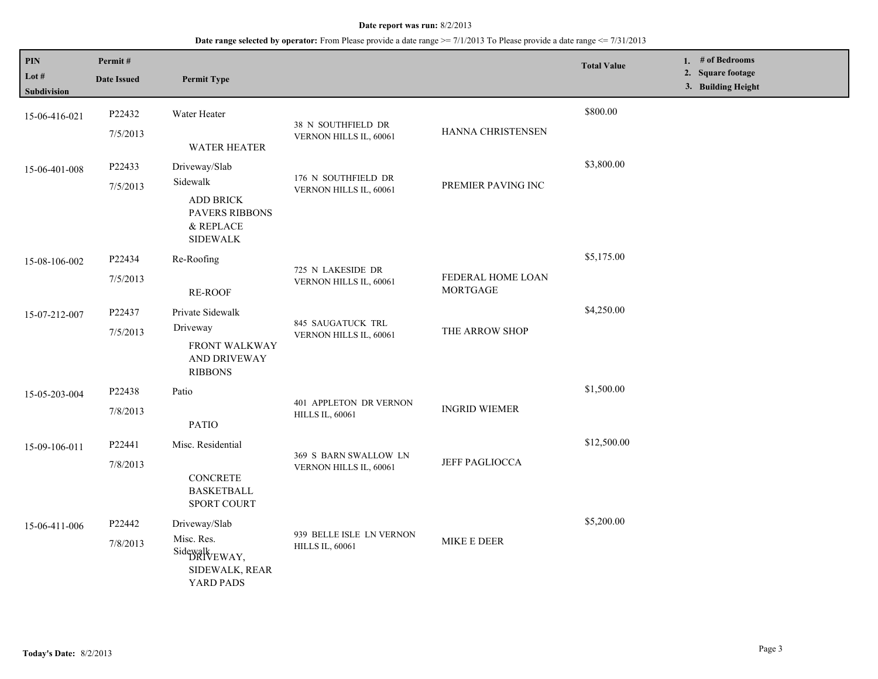| PIN<br>Lot #<br>Subdivision | Permit#<br><b>Date Issued</b> | <b>Permit Type</b>                                                                              |                                                    |                                      | <b>Total Value</b> | 1. $#$ of Bedrooms<br>2. Square footage<br>3. Building Height |
|-----------------------------|-------------------------------|-------------------------------------------------------------------------------------------------|----------------------------------------------------|--------------------------------------|--------------------|---------------------------------------------------------------|
| 15-06-416-021               | P22432<br>7/5/2013            | Water Heater<br>WATER HEATER                                                                    | 38 N SOUTHFIELD DR<br>VERNON HILLS IL, 60061       | HANNA CHRISTENSEN                    | \$800.00           |                                                               |
| 15-06-401-008               | P22433<br>7/5/2013            | Driveway/Slab<br>Sidewalk<br><b>ADD BRICK</b><br>PAVERS RIBBONS<br>& REPLACE<br><b>SIDEWALK</b> | 176 N SOUTHFIELD DR<br>VERNON HILLS IL, 60061      | PREMIER PAVING INC                   | \$3,800.00         |                                                               |
| 15-08-106-002               | P22434<br>7/5/2013            | Re-Roofing<br><b>RE-ROOF</b>                                                                    | 725 N LAKESIDE DR<br>VERNON HILLS IL, 60061        | FEDERAL HOME LOAN<br><b>MORTGAGE</b> | \$5,175.00         |                                                               |
| 15-07-212-007               | P22437<br>7/5/2013            | Private Sidewalk<br>Driveway<br>FRONT WALKWAY<br>AND DRIVEWAY<br><b>RIBBONS</b>                 | 845 SAUGATUCK TRL<br>VERNON HILLS IL, 60061        | THE ARROW SHOP                       | \$4,250.00         |                                                               |
| 15-05-203-004               | P22438<br>7/8/2013            | Patio<br><b>PATIO</b>                                                                           | 401 APPLETON DR VERNON<br><b>HILLS IL, 60061</b>   | <b>INGRID WIEMER</b>                 | \$1,500.00         |                                                               |
| 15-09-106-011               | P22441<br>7/8/2013            | Misc. Residential<br><b>CONCRETE</b><br><b>BASKETBALL</b><br>SPORT COURT                        | 369 S BARN SWALLOW LN<br>VERNON HILLS IL, 60061    | <b>JEFF PAGLIOCCA</b>                | \$12,500.00        |                                                               |
| 15-06-411-006               | P22442<br>7/8/2013            | Driveway/Slab<br>Misc. Res.<br>Sidewalk<br>DRIVEWAY,<br>SIDEWALK, REAR<br>YARD PADS             | 939 BELLE ISLE LN VERNON<br><b>HILLS IL, 60061</b> | MIKE E DEER                          | \$5,200.00         |                                                               |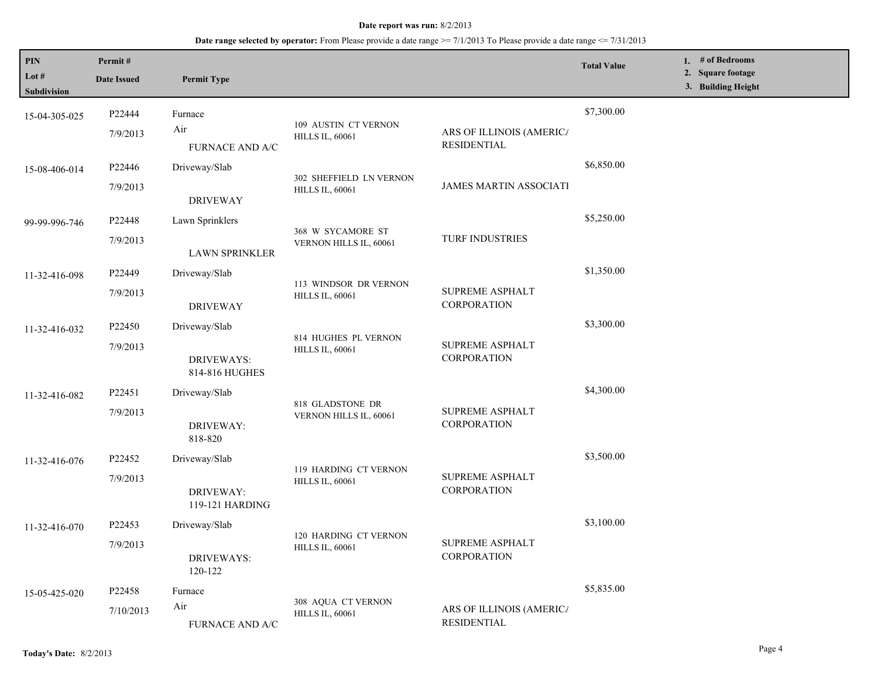| PIN<br>Lot #<br>Subdivision | Permit#<br><b>Date Issued</b> | <b>Permit Type</b>                                   |                                                   |                                                | <b>Total Value</b> | 1. # of Bedrooms<br>2. Square footage<br>3. Building Height |
|-----------------------------|-------------------------------|------------------------------------------------------|---------------------------------------------------|------------------------------------------------|--------------------|-------------------------------------------------------------|
| 15-04-305-025               | P22444<br>7/9/2013            | Furnace<br>Air<br><b>FURNACE AND A/C</b>             | 109 AUSTIN CT VERNON<br><b>HILLS IL, 60061</b>    | ARS OF ILLINOIS (AMERICA<br><b>RESIDENTIAL</b> | \$7,300.00         |                                                             |
| 15-08-406-014               | P22446<br>7/9/2013            | Driveway/Slab<br><b>DRIVEWAY</b>                     | 302 SHEFFIELD LN VERNON<br><b>HILLS IL, 60061</b> | <b>JAMES MARTIN ASSOCIATI</b>                  | \$6,850.00         |                                                             |
| 99-99-996-746               | P22448<br>7/9/2013            | Lawn Sprinklers<br><b>LAWN SPRINKLER</b>             | 368 W SYCAMORE ST<br>VERNON HILLS IL, 60061       | <b>TURF INDUSTRIES</b>                         | \$5,250.00         |                                                             |
| 11-32-416-098               | P22449<br>7/9/2013            | Driveway/Slab<br><b>DRIVEWAY</b>                     | 113 WINDSOR DR VERNON<br><b>HILLS IL, 60061</b>   | <b>SUPREME ASPHALT</b><br><b>CORPORATION</b>   | \$1,350.00         |                                                             |
| 11-32-416-032               | P22450<br>7/9/2013            | Driveway/Slab<br><b>DRIVEWAYS:</b><br>814-816 HUGHES | 814 HUGHES PL VERNON<br><b>HILLS IL, 60061</b>    | <b>SUPREME ASPHALT</b><br>CORPORATION          | \$3,300.00         |                                                             |
| 11-32-416-082               | P22451<br>7/9/2013            | Driveway/Slab<br>DRIVEWAY:<br>818-820                | 818 GLADSTONE DR<br>VERNON HILLS IL, 60061        | <b>SUPREME ASPHALT</b><br>CORPORATION          | \$4,300.00         |                                                             |
| 11-32-416-076               | P22452<br>7/9/2013            | Driveway/Slab<br>DRIVEWAY:<br>119-121 HARDING        | 119 HARDING CT VERNON<br><b>HILLS IL, 60061</b>   | <b>SUPREME ASPHALT</b><br><b>CORPORATION</b>   | \$3,500.00         |                                                             |
| 11-32-416-070               | P22453<br>7/9/2013            | Driveway/Slab<br><b>DRIVEWAYS:</b><br>120-122        | 120 HARDING CT VERNON<br><b>HILLS IL, 60061</b>   | <b>SUPREME ASPHALT</b><br>CORPORATION          | \$3,100.00         |                                                             |
| 15-05-425-020               | P22458<br>7/10/2013           | Furnace<br>Air<br>FURNACE AND A/C                    | 308 AQUA CT VERNON<br><b>HILLS IL, 60061</b>      | ARS OF ILLINOIS (AMERICA<br>RESIDENTIAL        | \$5,835.00         |                                                             |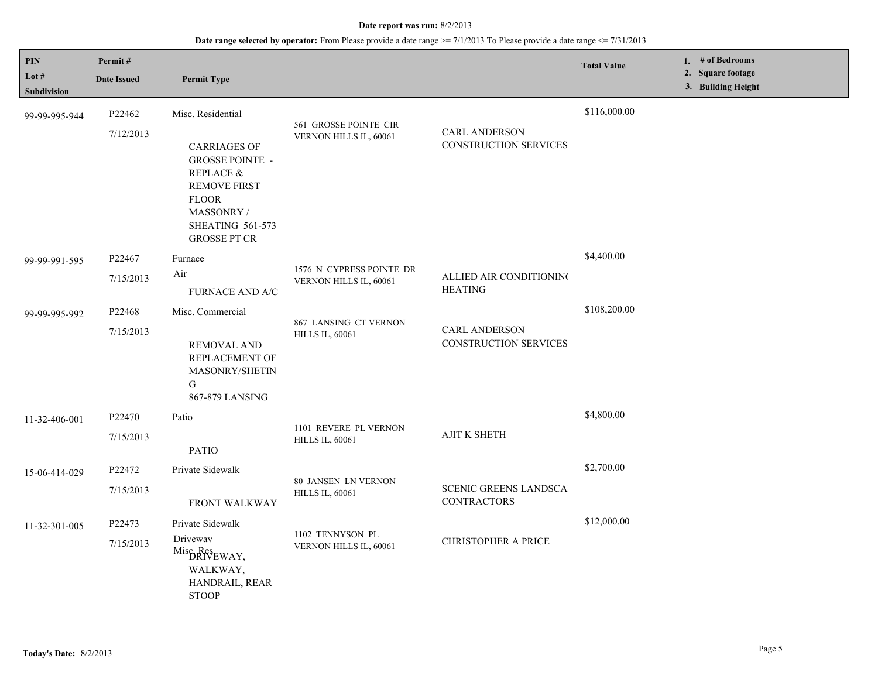| PIN<br>Lot #<br>Subdivision | Permit#<br><b>Date Issued</b> | <b>Permit Type</b>                                                                                                                                                                     |                                                      |                                                      | <b>Total Value</b> | 1. # of Bedrooms<br>2. Square footage<br>3. Building Height |
|-----------------------------|-------------------------------|----------------------------------------------------------------------------------------------------------------------------------------------------------------------------------------|------------------------------------------------------|------------------------------------------------------|--------------------|-------------------------------------------------------------|
| 99-99-995-944               | P22462<br>7/12/2013           | Misc. Residential<br><b>CARRIAGES OF</b><br><b>GROSSE POINTE -</b><br>REPLACE &<br><b>REMOVE FIRST</b><br><b>FLOOR</b><br>MASSONRY /<br><b>SHEATING 561-573</b><br><b>GROSSE PT CR</b> | 561 GROSSE POINTE CIR<br>VERNON HILLS IL, 60061      | <b>CARL ANDERSON</b><br>CONSTRUCTION SERVICES        | \$116,000.00       |                                                             |
| 99-99-991-595               | P22467<br>7/15/2013           | Furnace<br>Air<br><b>FURNACE AND A/C</b>                                                                                                                                               | 1576 N CYPRESS POINTE DR<br>VERNON HILLS IL, 60061   | ALLIED AIR CONDITIONING<br><b>HEATING</b>            | \$4,400.00         |                                                             |
| 99-99-995-992               | P22468<br>7/15/2013           | Misc. Commercial<br><b>REMOVAL AND</b><br>REPLACEMENT OF<br><b>MASONRY/SHETIN</b><br>G<br>867-879 LANSING                                                                              | 867 LANSING CT VERNON<br><b>HILLS IL, 60061</b>      | <b>CARL ANDERSON</b><br><b>CONSTRUCTION SERVICES</b> | \$108,200.00       |                                                             |
| 11-32-406-001               | P22470<br>7/15/2013           | Patio<br><b>PATIO</b>                                                                                                                                                                  | 1101 REVERE PL VERNON<br><b>HILLS IL, 60061</b>      | <b>AJIT K SHETH</b>                                  | \$4,800.00         |                                                             |
| 15-06-414-029               | P22472<br>7/15/2013           | Private Sidewalk<br>FRONT WALKWAY                                                                                                                                                      | <b>80 JANSEN LN VERNON</b><br><b>HILLS IL, 60061</b> | <b>SCENIC GREENS LANDSCA</b><br><b>CONTRACTORS</b>   | \$2,700.00         |                                                             |
| 11-32-301-005               | P22473<br>7/15/2013           | Private Sidewalk<br>Driveway<br>Misc <sub>Res</sub> <sub>EWAY</sub> ,<br>WALKWAY,<br>HANDRAIL, REAR<br><b>STOOP</b>                                                                    | 1102 TENNYSON PL<br>VERNON HILLS IL, 60061           | <b>CHRISTOPHER A PRICE</b>                           | \$12,000.00        |                                                             |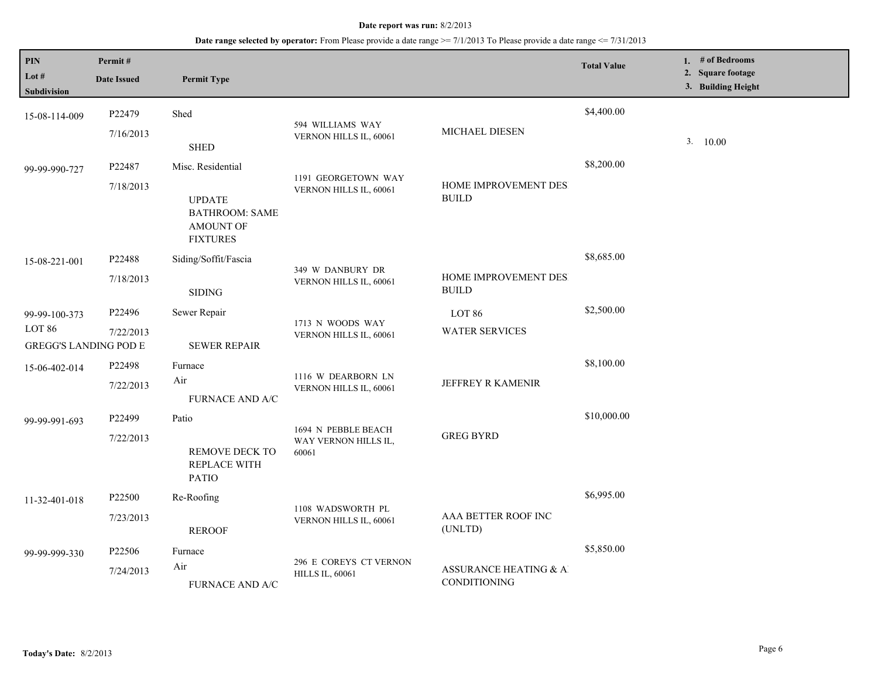| PIN<br>Lot $#$<br>Subdivision                           | Permit#<br><b>Date Issued</b> | <b>Permit Type</b>                                                                          |                                                      |                                        | <b>Total Value</b> | 1. $#$ of Bedrooms<br>2. Square footage<br>3. Building Height |
|---------------------------------------------------------|-------------------------------|---------------------------------------------------------------------------------------------|------------------------------------------------------|----------------------------------------|--------------------|---------------------------------------------------------------|
| 15-08-114-009                                           | P22479<br>7/16/2013           | Shed<br><b>SHED</b>                                                                         | 594 WILLIAMS WAY<br>VERNON HILLS IL, 60061           | MICHAEL DIESEN                         | \$4,400.00         | 3. 10.00                                                      |
| 99-99-990-727                                           | P22487<br>7/18/2013           | Misc. Residential<br><b>UPDATE</b><br><b>BATHROOM: SAME</b><br>AMOUNT OF<br><b>FIXTURES</b> | 1191 GEORGETOWN WAY<br>VERNON HILLS IL, 60061        | HOME IMPROVEMENT DES<br><b>BUILD</b>   | \$8,200.00         |                                                               |
| 15-08-221-001                                           | P22488<br>7/18/2013           | Siding/Soffit/Fascia<br><b>SIDING</b>                                                       | 349 W DANBURY DR<br>VERNON HILLS IL, 60061           | HOME IMPROVEMENT DES<br><b>BUILD</b>   | \$8,685.00         |                                                               |
| 99-99-100-373<br>LOT 86<br><b>GREGG'S LANDING POD E</b> | P22496<br>7/22/2013           | Sewer Repair<br><b>SEWER REPAIR</b>                                                         | 1713 N WOODS WAY<br>VERNON HILLS IL, 60061           | LOT 86<br><b>WATER SERVICES</b>        | \$2,500.00         |                                                               |
| 15-06-402-014                                           | P22498<br>7/22/2013           | Furnace<br>Air<br>FURNACE AND A/C                                                           | 1116 W DEARBORN LN<br>VERNON HILLS IL, 60061         | JEFFREY R KAMENIR                      | \$8,100.00         |                                                               |
| 99-99-991-693                                           | P22499<br>7/22/2013           | Patio<br>REMOVE DECK TO<br><b>REPLACE WITH</b><br><b>PATIO</b>                              | 1694 N PEBBLE BEACH<br>WAY VERNON HILLS IL,<br>60061 | <b>GREG BYRD</b>                       | \$10,000.00        |                                                               |
| 11-32-401-018                                           | P22500<br>7/23/2013           | Re-Roofing<br><b>REROOF</b>                                                                 | 1108 WADSWORTH PL<br>VERNON HILLS IL, 60061          | AAA BETTER ROOF INC<br>(UNLTD)         | \$6,995.00         |                                                               |
| 99-99-999-330                                           | P22506<br>7/24/2013           | Furnace<br>Air<br><b>FURNACE AND A/C</b>                                                    | 296 E COREYS CT VERNON<br><b>HILLS IL, 60061</b>     | ASSURANCE HEATING & AI<br>CONDITIONING | \$5,850.00         |                                                               |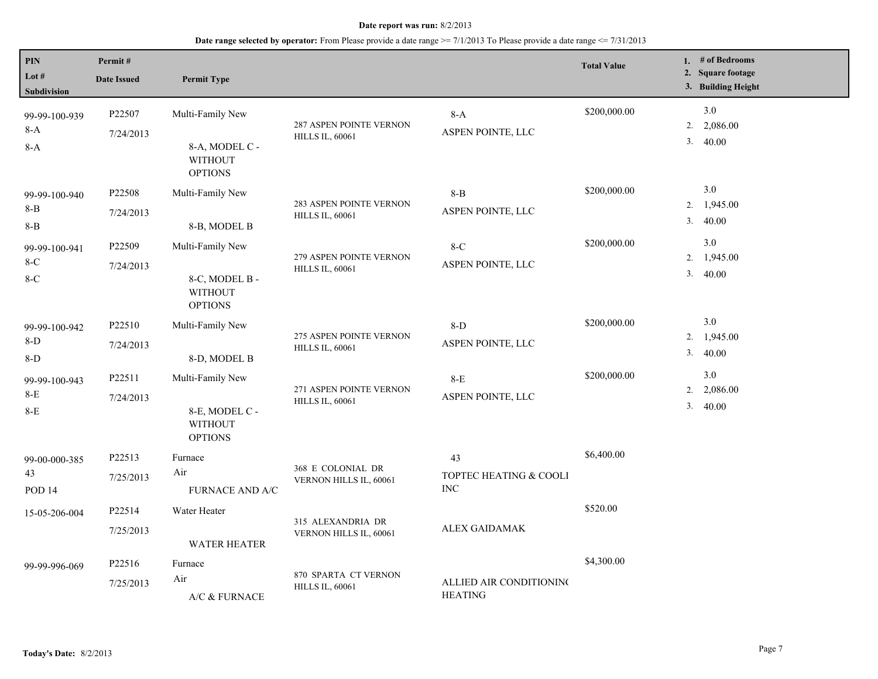| PIN<br>Lot #<br>Subdivision          | Permit#<br><b>Date Issued</b> | <b>Permit Type</b>                                                     |                                                   |                                            | <b>Total Value</b> |          | 1. # of Bedrooms<br>2. Square footage<br>3. Building Height |
|--------------------------------------|-------------------------------|------------------------------------------------------------------------|---------------------------------------------------|--------------------------------------------|--------------------|----------|-------------------------------------------------------------|
| 99-99-100-939<br>$8-A$<br>8-A        | P22507<br>7/24/2013           | Multi-Family New<br>8-A, MODEL C -<br><b>WITHOUT</b><br><b>OPTIONS</b> | 287 ASPEN POINTE VERNON<br><b>HILLS IL, 60061</b> | $8-A$<br>ASPEN POINTE, LLC                 | \$200,000.00       | 2.<br>3. | 3.0<br>2,086.00<br>40.00                                    |
| 99-99-100-940<br>$8 - B$<br>$8 - B$  | P22508<br>7/24/2013           | Multi-Family New<br>8-B, MODEL B                                       | 283 ASPEN POINTE VERNON<br><b>HILLS IL, 60061</b> | $8 - B$<br>ASPEN POINTE, LLC               | \$200,000.00       | 2.<br>3. | 3.0<br>1,945.00<br>40.00                                    |
| 99-99-100-941<br>$8-C$<br>$8-C$      | P22509<br>7/24/2013           | Multi-Family New<br>8-C, MODEL B -<br><b>WITHOUT</b><br><b>OPTIONS</b> | 279 ASPEN POINTE VERNON<br><b>HILLS IL, 60061</b> | $8-C$<br>ASPEN POINTE, LLC                 | \$200,000.00       | 2.<br>3. | 3.0<br>1,945.00<br>40.00                                    |
| 99-99-100-942<br>8-D<br>$8-D$        | P22510<br>7/24/2013           | Multi-Family New<br>8-D, MODEL B                                       | 275 ASPEN POINTE VERNON<br><b>HILLS IL, 60061</b> | $8-D$<br>ASPEN POINTE, LLC                 | \$200,000.00       | 3.       | 3.0<br>2. 1,945.00<br>40.00                                 |
| 99-99-100-943<br>$8-E$<br>$8-E$      | P22511<br>7/24/2013           | Multi-Family New<br>8-E, MODEL C -<br><b>WITHOUT</b><br><b>OPTIONS</b> | 271 ASPEN POINTE VERNON<br><b>HILLS IL, 60061</b> | $8-E$<br>ASPEN POINTE, LLC                 | \$200,000.00       | 2.<br>3. | 3.0<br>2,086.00<br>40.00                                    |
| 99-00-000-385<br>43<br><b>POD 14</b> | P22513<br>7/25/2013           | Furnace<br>Air<br>FURNACE AND A/C                                      | 368 E COLONIAL DR<br>VERNON HILLS IL, 60061       | 43<br>TOPTEC HEATING & COOLI<br>$\rm{INC}$ | \$6,400.00         |          |                                                             |
| 15-05-206-004                        | P22514<br>7/25/2013           | Water Heater<br><b>WATER HEATER</b>                                    | 315 ALEXANDRIA DR<br>VERNON HILLS IL, 60061       | ALEX GAIDAMAK                              | \$520.00           |          |                                                             |
| 99-99-996-069                        | P22516<br>7/25/2013           | Furnace<br>Air<br>A/C & FURNACE                                        | 870 SPARTA CT VERNON<br><b>HILLS IL, 60061</b>    | ALLIED AIR CONDITIONING<br><b>HEATING</b>  | \$4,300.00         |          |                                                             |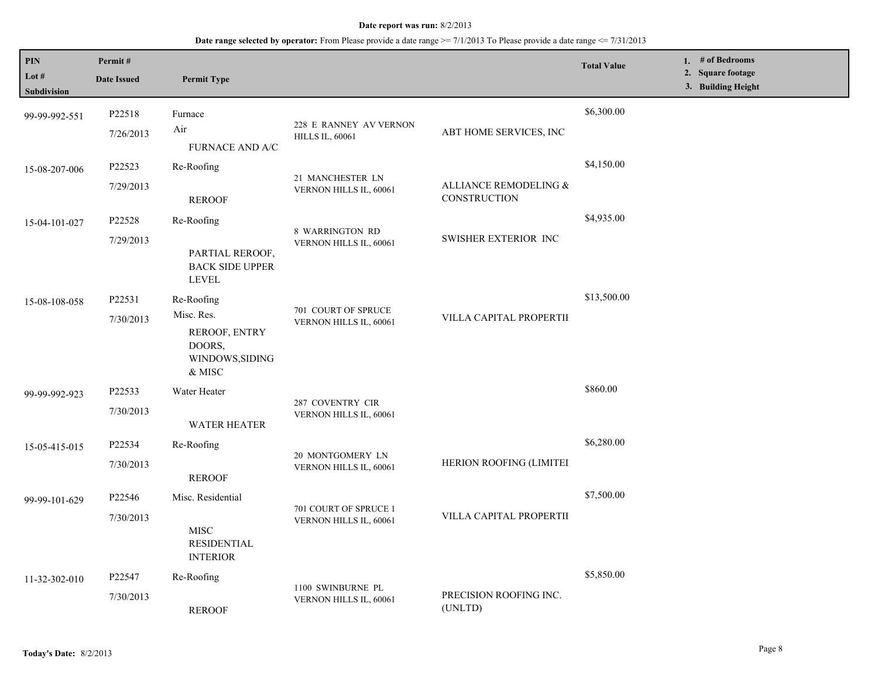| PIN<br>Lot #<br>Subdivision | Permit#<br><b>Date Issued</b> | <b>Permit Type</b>                                                               |                                                  |                                       | <b>Total Value</b> | 1. # of Bedrooms<br>2. Square footage<br>3. Building Height |
|-----------------------------|-------------------------------|----------------------------------------------------------------------------------|--------------------------------------------------|---------------------------------------|--------------------|-------------------------------------------------------------|
| 99-99-992-551               | P22518<br>7/26/2013           | Furnace<br>Air<br>FURNACE AND A/C                                                | 228 E RANNEY AV VERNON<br><b>HILLS IL, 60061</b> | ABT HOME SERVICES, INC                | \$6,300.00         |                                                             |
| 15-08-207-006               | P22523<br>7/29/2013           | Re-Roofing<br><b>REROOF</b>                                                      | 21 MANCHESTER LN<br>VERNON HILLS IL, 60061       | ALLIANCE REMODELING &<br>CONSTRUCTION | \$4,150.00         |                                                             |
| 15-04-101-027               | P22528<br>7/29/2013           | Re-Roofing<br>PARTIAL REROOF,<br><b>BACK SIDE UPPER</b><br><b>LEVEL</b>          | 8 WARRINGTON RD<br>VERNON HILLS IL, 60061        | <b>SWISHER EXTERIOR INC</b>           | \$4,935.00         |                                                             |
| 15-08-108-058               | P22531<br>7/30/2013           | Re-Roofing<br>Misc. Res.<br>REROOF, ENTRY<br>DOORS,<br>WINDOWS, SIDING<br>& MISC | 701 COURT OF SPRUCE<br>VERNON HILLS IL, 60061    | VILLA CAPITAL PROPERTII               | \$13,500.00        |                                                             |
| 99-99-992-923               | P22533<br>7/30/2013           | Water Heater<br><b>WATER HEATER</b>                                              | 287 COVENTRY CIR<br>VERNON HILLS IL, 60061       |                                       | \$860.00           |                                                             |
| 15-05-415-015               | P22534<br>7/30/2013           | Re-Roofing<br><b>REROOF</b>                                                      | 20 MONTGOMERY LN<br>VERNON HILLS IL, 60061       | HERION ROOFING (LIMITEI               | \$6,280.00         |                                                             |
| 99-99-101-629               | P22546<br>7/30/2013           | Misc. Residential<br><b>MISC</b><br><b>RESIDENTIAL</b><br><b>INTERIOR</b>        | 701 COURT OF SPRUCE 1<br>VERNON HILLS IL, 60061  | VILLA CAPITAL PROPERTII               | \$7,500.00         |                                                             |
| 11-32-302-010               | P22547<br>7/30/2013           | Re-Roofing<br><b>REROOF</b>                                                      | 1100 SWINBURNE PL<br>VERNON HILLS IL, 60061      | PRECISION ROOFING INC.<br>(UNLTD)     | \$5,850.00         |                                                             |